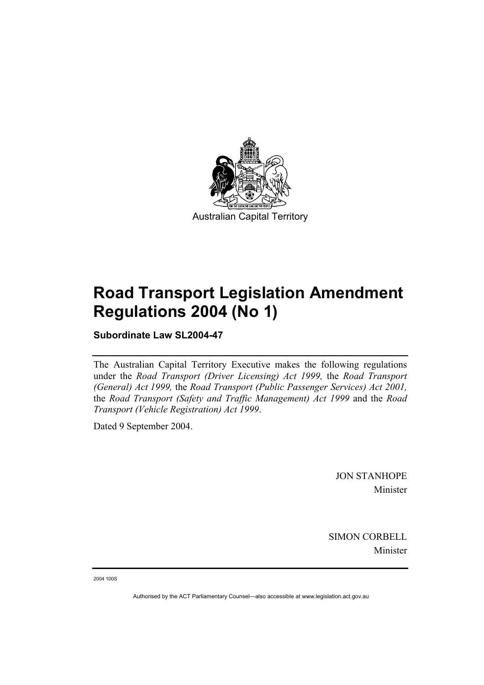

# **Road Transport Legislation Amendment Regulations 2004 (No 1)**

**Subordinate Law SL2004-47** 

The Australian Capital Territory Executive makes the following regulations under the *Road Transport (Driver Licensing) Act 1999,* the *Road Transport (General) Act 1999,* the *Road Transport (Public Passenger Services) Act 2001,*  the *Road Transport (Safety and Traffic Management) Act 1999* and the *Road Transport (Vehicle Registration) Act 1999*.

Dated 9 September 2004.

JON STANHOPE Minister

SIMON CORBELL Minister

2004 100S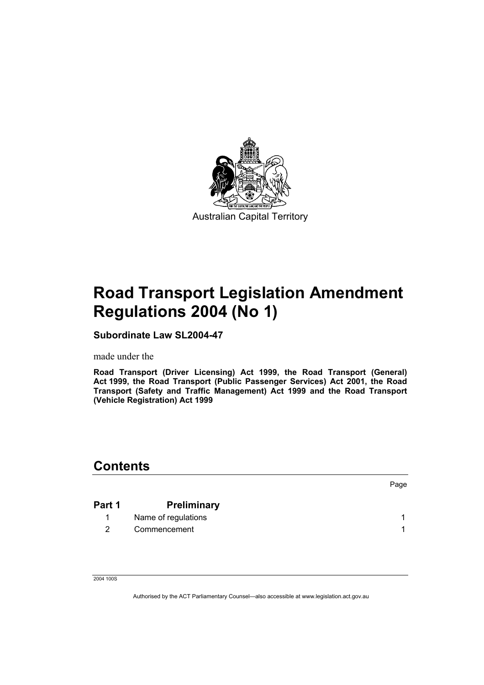

# **Road Transport Legislation Amendment Regulations 2004 (No 1)**

**Subordinate Law SL2004-47** 

made under the

**Road Transport (Driver Licensing) Act 1999, the Road Transport (General) Act 1999, the Road Transport (Public Passenger Services) Act 2001, the Road Transport (Safety and Traffic Management) Act 1999 and the Road Transport (Vehicle Registration) Act 1999** 

### **Contents**

| Part 1 | <b>Preliminary</b>  |  |
|--------|---------------------|--|
|        | Name of regulations |  |
|        | Commencement        |  |

Page

2004 100S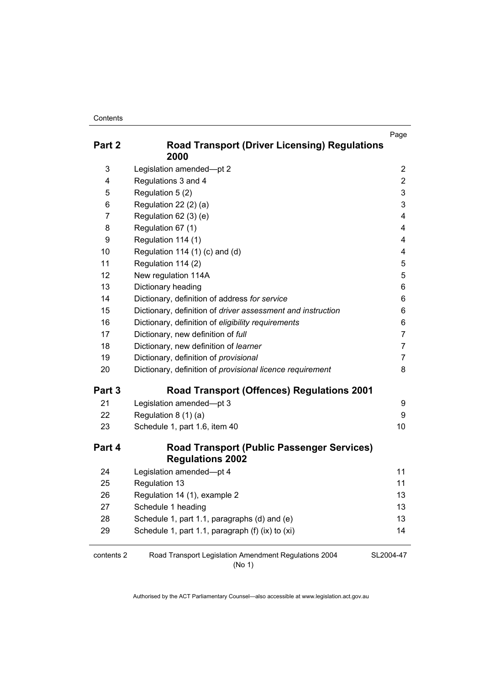### **Contents**

| Part 2     | <b>Road Transport (Driver Licensing) Regulations</b><br>2000                 | Page                    |
|------------|------------------------------------------------------------------------------|-------------------------|
| 3          | Legislation amended-pt 2                                                     | $\overline{c}$          |
| 4          | Regulations 3 and 4                                                          | $\overline{c}$          |
| 5          | Regulation 5 (2)                                                             | 3                       |
| 6          | Regulation 22 (2) (a)                                                        | 3                       |
| 7          | Regulation 62 (3) (e)                                                        | $\overline{\mathbf{4}}$ |
| 8          | Regulation 67 (1)                                                            | 4                       |
| 9          | Regulation 114 (1)                                                           | 4                       |
| 10         | Regulation 114 (1) (c) and (d)                                               | 4                       |
| 11         | Regulation 114 (2)                                                           | 5                       |
| 12         | New regulation 114A                                                          | 5                       |
| 13         | Dictionary heading                                                           | 6                       |
| 14         | Dictionary, definition of address for service                                | 6                       |
| 15         | Dictionary, definition of driver assessment and instruction                  | 6                       |
| 16         | Dictionary, definition of eligibility requirements                           | 6                       |
| 17         | Dictionary, new definition of full                                           | $\overline{7}$          |
| 18         | Dictionary, new definition of learner                                        | $\overline{7}$          |
| 19         | Dictionary, definition of provisional                                        | $\overline{7}$          |
| 20         | Dictionary, definition of provisional licence requirement                    | 8                       |
| Part 3     | <b>Road Transport (Offences) Regulations 2001</b>                            |                         |
| 21         | Legislation amended-pt 3                                                     | 9                       |
| 22         | Regulation 8 (1) (a)                                                         | 9                       |
| 23         | Schedule 1, part 1.6, item 40                                                | 10 <sup>1</sup>         |
| Part 4     | <b>Road Transport (Public Passenger Services)</b><br><b>Regulations 2002</b> |                         |
| 24         | Legislation amended-pt 4                                                     | 11                      |
| 25         | Regulation 13                                                                | 11                      |
| 26         | Regulation 14 (1), example 2                                                 | 13                      |
| 27         | Schedule 1 heading                                                           | 13                      |
| 28         | Schedule 1, part 1.1, paragraphs (d) and (e)                                 | 13                      |
| 29         | Schedule 1, part 1.1, paragraph (f) (ix) to (xi)                             | 14                      |
| contents 2 | Road Transport Legislation Amendment Regulations 2004                        | SL2004-47               |

(No 1)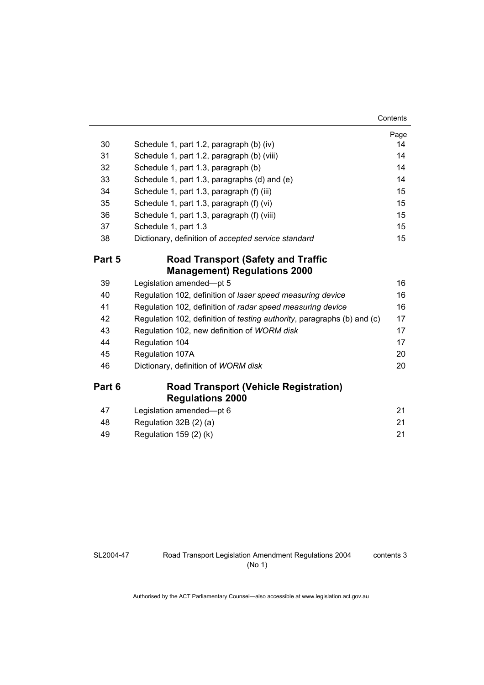### **Contents**

|        |                                                                                 | Page |
|--------|---------------------------------------------------------------------------------|------|
| 30     | Schedule 1, part 1.2, paragraph (b) (iv)                                        | 14   |
| 31     | Schedule 1, part 1.2, paragraph (b) (viii)                                      | 14   |
| 32     | Schedule 1, part 1.3, paragraph (b)                                             | 14   |
| 33     | Schedule 1, part 1.3, paragraphs (d) and (e)                                    | 14   |
| 34     | Schedule 1, part 1.3, paragraph (f) (iii)                                       | 15   |
| 35     | Schedule 1, part 1.3, paragraph (f) (vi)                                        | 15   |
| 36     | Schedule 1, part 1.3, paragraph (f) (viii)                                      | 15   |
| 37     | Schedule 1, part 1.3                                                            | 15   |
| 38     | Dictionary, definition of accepted service standard                             | 15   |
| Part 5 | <b>Road Transport (Safety and Traffic</b>                                       |      |
|        | <b>Management) Regulations 2000</b>                                             |      |
| 39     | Legislation amended-pt 5                                                        | 16   |
| 40     | Regulation 102, definition of laser speed measuring device                      | 16   |
| 41     | Regulation 102, definition of radar speed measuring device                      | 16   |
| 42     | Regulation 102, definition of <i>testing authority</i> , paragraphs (b) and (c) | 17   |
| 43     | Regulation 102, new definition of WORM disk                                     | 17   |
| 44     | Regulation 104                                                                  | 17   |
| 45     | Regulation 107A                                                                 | 20   |
| 46     | Dictionary, definition of WORM disk                                             | 20   |
| Part 6 | <b>Road Transport (Vehicle Registration)</b>                                    |      |
|        | <b>Regulations 2000</b>                                                         |      |
| 47     | Legislation amended-pt 6                                                        | 21   |
| 48     | Regulation 32B (2) (a)                                                          | 21   |
| 49     | Regulation 159 (2) (k)                                                          | 21   |

### SL2004-47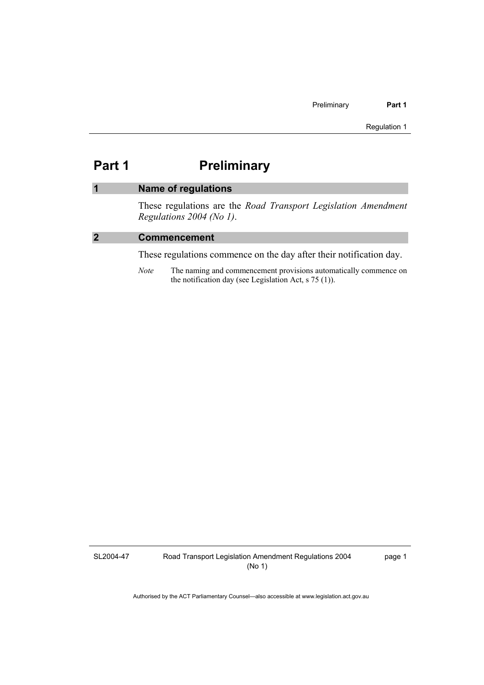### **Part 1** Preliminary

### **1 Name of regulations**  These regulations are the *Road Transport Legislation Amendment*

*Regulations 2004 (No 1)*.

### **2 Commencement**

These regulations commence on the day after their notification day.

*Note* The naming and commencement provisions automatically commence on the notification day (see Legislation Act, s 75 (1)).

SL2004-47

Road Transport Legislation Amendment Regulations 2004 (No 1)

page 1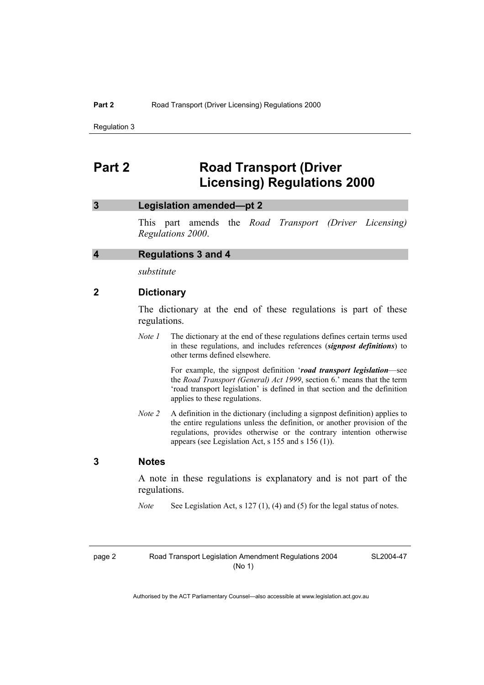### **Part 2 Road Transport (Driver Licensing) Regulations 2000**

### **3 Legislation amended—pt 2**

This part amends the *Road Transport (Driver Licensing) Regulations 2000*.

### **4 Regulations 3 and 4**

*substitute* 

### **2 Dictionary**

The dictionary at the end of these regulations is part of these regulations.

*Note 1* The dictionary at the end of these regulations defines certain terms used in these regulations, and includes references (*signpost definitions*) to other terms defined elsewhere.

> For example, the signpost definition '*road transport legislation*—see the *Road Transport (General) Act 1999*, section 6.' means that the term 'road transport legislation' is defined in that section and the definition applies to these regulations.

*Note 2* A definition in the dictionary (including a signpost definition) applies to the entire regulations unless the definition, or another provision of the regulations, provides otherwise or the contrary intention otherwise appears (see Legislation Act, s 155 and s 156 (1)).

### **3 Notes**

A note in these regulations is explanatory and is not part of the regulations.

*Note* See Legislation Act, s 127 (1), (4) and (5) for the legal status of notes.

SL2004-47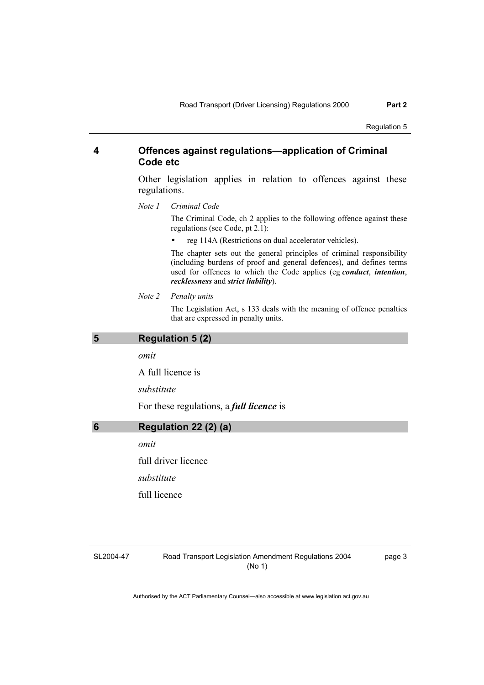### **4 Offences against regulations—application of Criminal Code etc**

Other legislation applies in relation to offences against these regulations.

*Note 1 Criminal Code*

The Criminal Code, ch 2 applies to the following offence against these regulations (see Code, pt 2.1):

• reg 114A (Restrictions on dual accelerator vehicles).

The chapter sets out the general principles of criminal responsibility (including burdens of proof and general defences), and defines terms used for offences to which the Code applies (eg *conduct*, *intention*, *recklessness* and *strict liability*).

*Note 2 Penalty units* 

The Legislation Act, s 133 deals with the meaning of offence penalties that are expressed in penalty units.

| 5 | <b>Regulation 5 (2)</b>                         |
|---|-------------------------------------------------|
|   | omit                                            |
|   | A full licence is                               |
|   | substitute                                      |
|   | For these regulations, a <i>full licence</i> is |
| 6 | Regulation 22 (2) (a)                           |
|   | omit                                            |
|   | full driver licence                             |
|   | substitute                                      |
|   | full licence                                    |
|   |                                                 |

SL2004-47

Road Transport Legislation Amendment Regulations 2004 (No 1)

page 3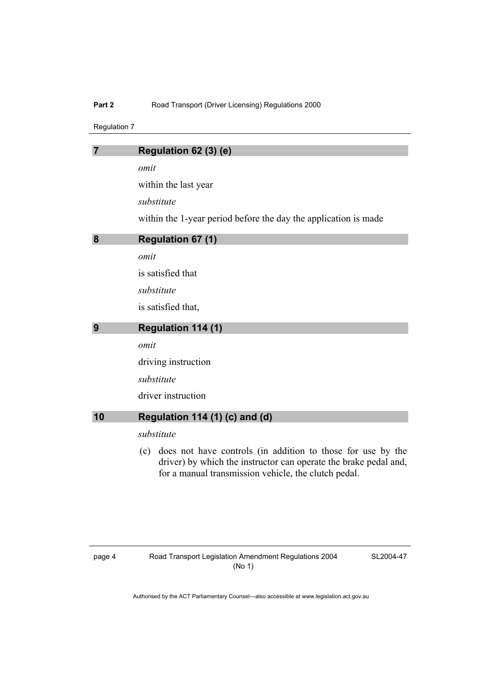### Part 2 **Road Transport (Driver Licensing) Regulations 2000**

Regulation 7

| 7  | Regulation 62 (3) (e)                                                                                                                                                                          |
|----|------------------------------------------------------------------------------------------------------------------------------------------------------------------------------------------------|
|    | omit                                                                                                                                                                                           |
|    | within the last year                                                                                                                                                                           |
|    | substitute                                                                                                                                                                                     |
|    | within the 1-year period before the day the application is made                                                                                                                                |
| 8  | <b>Regulation 67 (1)</b>                                                                                                                                                                       |
|    | omit                                                                                                                                                                                           |
|    | is satisfied that                                                                                                                                                                              |
|    | substitute                                                                                                                                                                                     |
|    | is satisfied that,                                                                                                                                                                             |
| 9  | <b>Regulation 114 (1)</b>                                                                                                                                                                      |
|    | omit                                                                                                                                                                                           |
|    | driving instruction                                                                                                                                                                            |
|    | substitute                                                                                                                                                                                     |
|    | driver instruction                                                                                                                                                                             |
| 10 | Regulation 114 (1) (c) and (d)                                                                                                                                                                 |
|    | substitute                                                                                                                                                                                     |
|    | does not have controls (in addition to those for use by the<br>(c)<br>driver) by which the instructor can operate the brake pedal and,<br>for a manual transmission vehicle, the clutch pedal. |

SL2004-47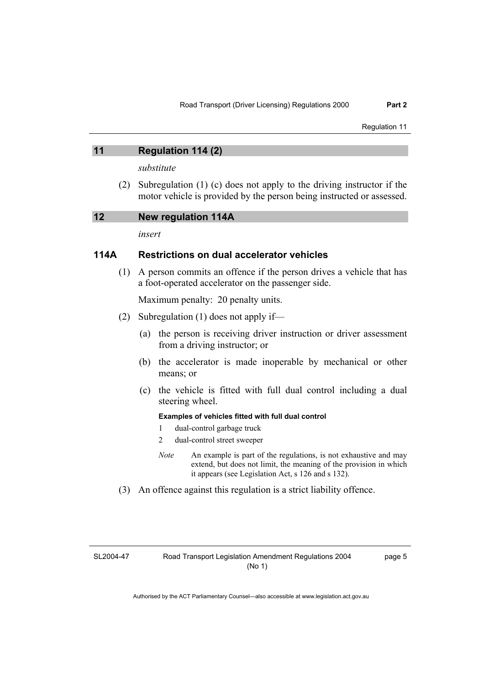### **11 Regulation 114 (2)**

*substitute* 

 (2) Subregulation (1) (c) does not apply to the driving instructor if the motor vehicle is provided by the person being instructed or assessed.

| 12 | New regulation 114A |  |
|----|---------------------|--|
|----|---------------------|--|

*insert* 

### **114A Restrictions on dual accelerator vehicles**

 (1) A person commits an offence if the person drives a vehicle that has a foot-operated accelerator on the passenger side.

Maximum penalty: 20 penalty units.

- (2) Subregulation (1) does not apply if—
	- (a) the person is receiving driver instruction or driver assessment from a driving instructor; or
	- (b) the accelerator is made inoperable by mechanical or other means; or
	- (c) the vehicle is fitted with full dual control including a dual steering wheel.

### **Examples of vehicles fitted with full dual control**

- 1 dual-control garbage truck
- 2 dual-control street sweeper
- *Note* An example is part of the regulations, is not exhaustive and may extend, but does not limit, the meaning of the provision in which it appears (see Legislation Act, s 126 and s 132).
- (3) An offence against this regulation is a strict liability offence.

SL2004-47

page 5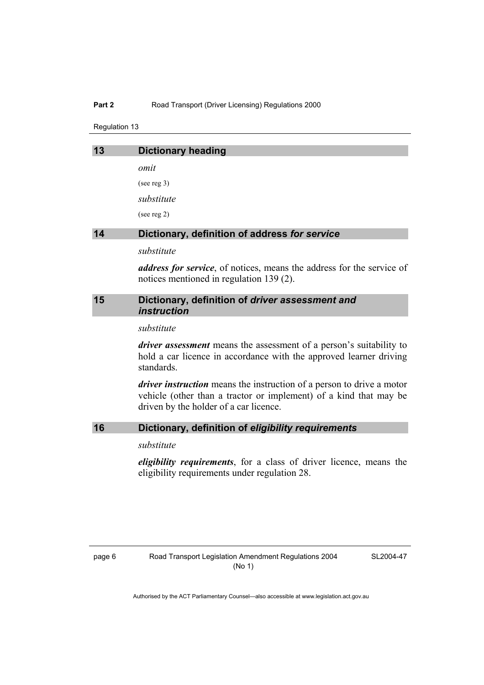### **Part 2** Road Transport (Driver Licensing) Regulations 2000

Regulation 13

| 13 | <b>Dictionary heading</b>                     |
|----|-----------------------------------------------|
|    | omit                                          |
|    | (see reg $3$ )                                |
|    | substitute                                    |
|    | (see reg 2)                                   |
| 14 | Dictionary, definition of address for service |
|    | substitute                                    |

*address for service*, of notices, means the address for the service of notices mentioned in regulation 139 (2).

### **15 Dictionary, definition of** *driver assessment and instruction*

*substitute* 

*driver assessment* means the assessment of a person's suitability to hold a car licence in accordance with the approved learner driving standards.

*driver instruction* means the instruction of a person to drive a motor vehicle (other than a tractor or implement) of a kind that may be driven by the holder of a car licence.

### **16 Dictionary, definition of** *eligibility requirements*

### *substitute*

*eligibility requirements*, for a class of driver licence, means the eligibility requirements under regulation 28.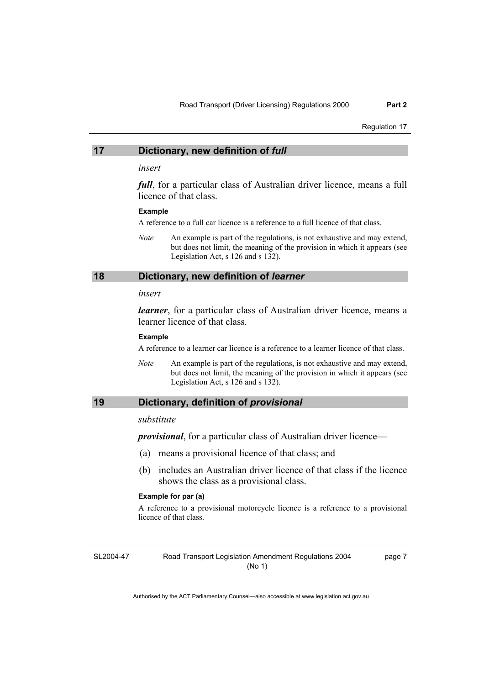### **17 Dictionary, new definition of** *full*

### *insert*

*full*, for a particular class of Australian driver licence, means a full licence of that class.

#### **Example**

A reference to a full car licence is a reference to a full licence of that class.

*Note* An example is part of the regulations, is not exhaustive and may extend, but does not limit, the meaning of the provision in which it appears (see Legislation Act, s 126 and s 132).

### **18 Dictionary, new definition of** *learner*

#### *insert*

*learner*, for a particular class of Australian driver licence, means a learner licence of that class.

#### **Example**

A reference to a learner car licence is a reference to a learner licence of that class.

*Note* An example is part of the regulations, is not exhaustive and may extend, but does not limit, the meaning of the provision in which it appears (see Legislation Act, s 126 and s 132).

### **19 Dictionary, definition of** *provisional*

### *substitute*

*provisional*, for a particular class of Australian driver licence—

- (a) means a provisional licence of that class; and
- (b) includes an Australian driver licence of that class if the licence shows the class as a provisional class.

#### **Example for par (a)**

A reference to a provisional motorcycle licence is a reference to a provisional licence of that class.

SL2004-47

Road Transport Legislation Amendment Regulations 2004 (No 1)

page 7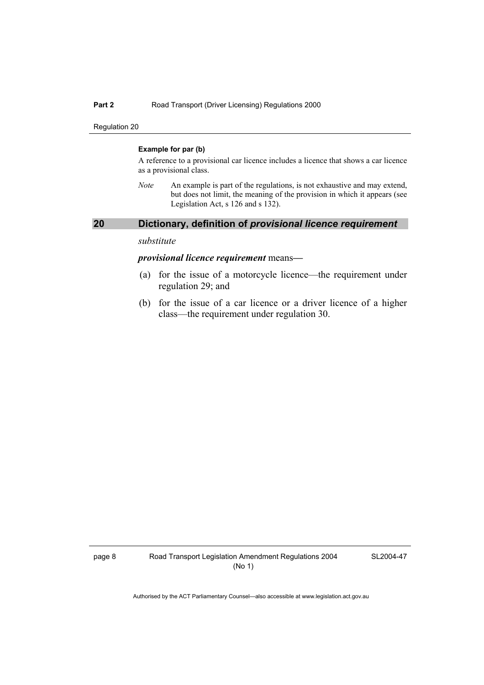### **Part 2** Road Transport (Driver Licensing) Regulations 2000

Regulation 20

### **Example for par (b)**

A reference to a provisional car licence includes a licence that shows a car licence as a provisional class.

*Note* An example is part of the regulations, is not exhaustive and may extend, but does not limit, the meaning of the provision in which it appears (see Legislation Act, s 126 and s 132).

### **20 Dictionary, definition of** *provisional licence requirement*

### *substitute*

### *provisional licence requirement* means*—*

- (a) for the issue of a motorcycle licence—the requirement under regulation 29; and
- (b) for the issue of a car licence or a driver licence of a higher class—the requirement under regulation 30.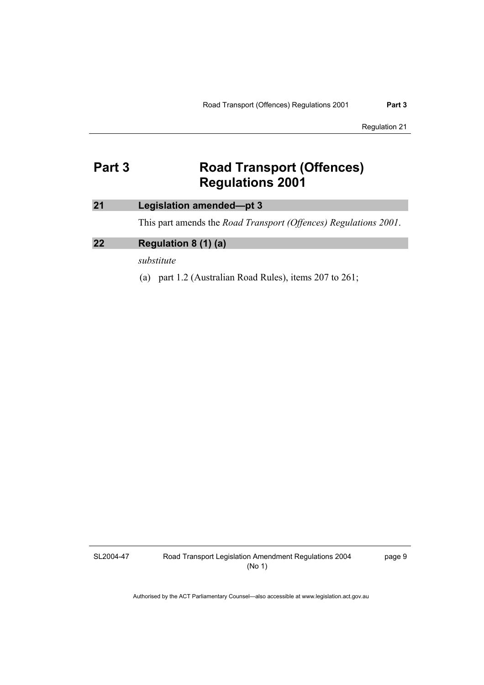## **Part 3 Road Transport (Offences) Regulations 2001**

### **21 Legislation amended—pt 3**

This part amends the *Road Transport (Offences) Regulations 2001*.

### **22 Regulation 8 (1) (a)**

*substitute* 

(a) part 1.2 (Australian Road Rules), items 207 to 261;

SL2004-47

Road Transport Legislation Amendment Regulations 2004 (No 1)

page 9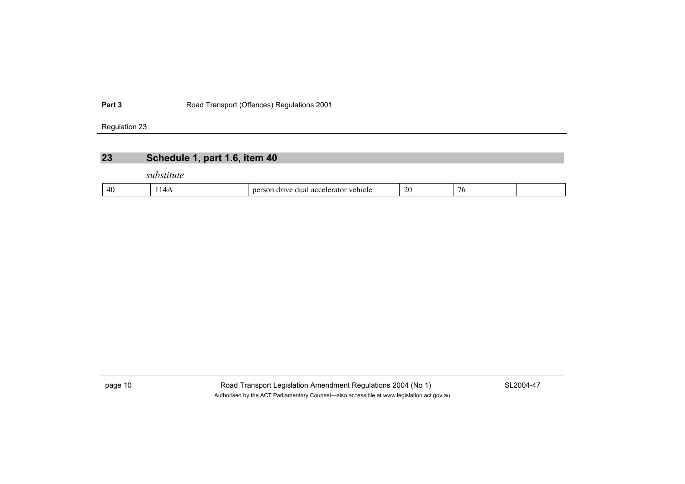Part 3 **Part 3** Road Transport (Offences) Regulations 2001

Regulation 23

### **23 Schedule 1, part 1.6, item 40**

*substitute* 

| $\Delta$<br>A112<br>n<br>еннет.<br>$\overline{a}$<br>41 L<br>.<br>.<br>T 1. | $\mathcal{L}$<br>$\overline{a}$ |  |  |
|-----------------------------------------------------------------------------|---------------------------------|--|--|
|-----------------------------------------------------------------------------|---------------------------------|--|--|

page 10 Road Transport Legislation Amendment Regulations 2004 (No 1) SL2004-47 Authorised by the ACT Parliamentary Counsel—also accessible at www.legislation.act.gov.au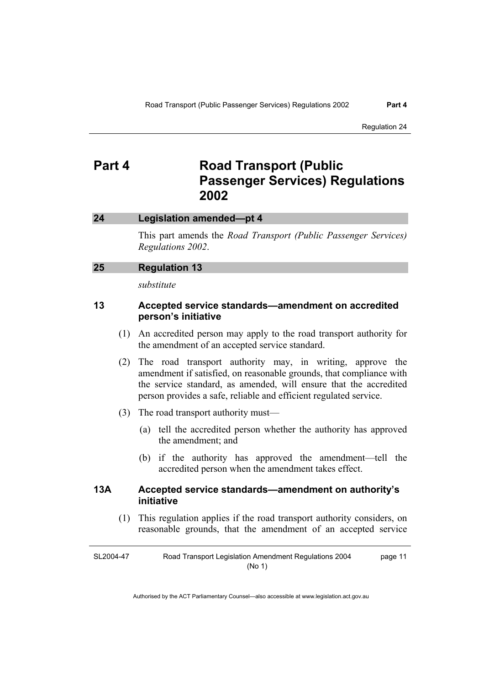### **Part 4 Road Transport (Public Passenger Services) Regulations 2002**

### **24 Legislation amended—pt 4**

This part amends the *Road Transport (Public Passenger Services) Regulations 2002*.

### **25 Regulation 13**

*substitute* 

### **13 Accepted service standards—amendment on accredited person's initiative**

- (1) An accredited person may apply to the road transport authority for the amendment of an accepted service standard.
- (2) The road transport authority may, in writing, approve the amendment if satisfied, on reasonable grounds, that compliance with the service standard, as amended, will ensure that the accredited person provides a safe, reliable and efficient regulated service.
- (3) The road transport authority must—
	- (a) tell the accredited person whether the authority has approved the amendment; and
	- (b) if the authority has approved the amendment—tell the accredited person when the amendment takes effect.

### **13A Accepted service standards—amendment on authority's initiative**

 (1) This regulation applies if the road transport authority considers, on reasonable grounds, that the amendment of an accepted service

SL2004-47 Road Transport Legislation Amendment Regulations 2004 (No 1) page 11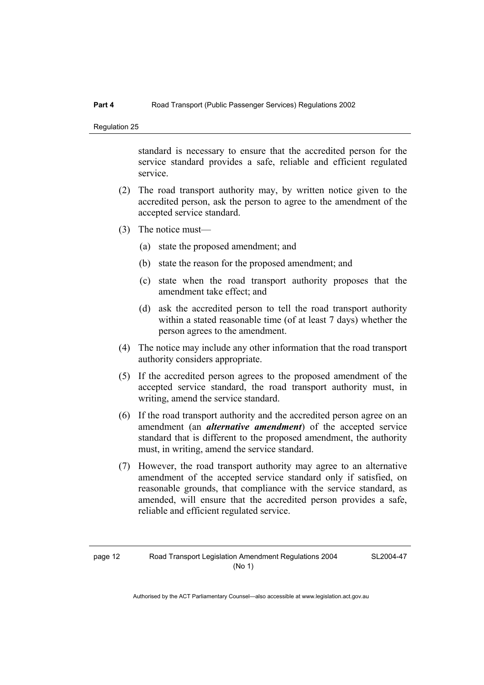standard is necessary to ensure that the accredited person for the service standard provides a safe, reliable and efficient regulated service.

- (2) The road transport authority may, by written notice given to the accredited person, ask the person to agree to the amendment of the accepted service standard.
- (3) The notice must—
	- (a) state the proposed amendment; and
	- (b) state the reason for the proposed amendment; and
	- (c) state when the road transport authority proposes that the amendment take effect; and
	- (d) ask the accredited person to tell the road transport authority within a stated reasonable time (of at least 7 days) whether the person agrees to the amendment.
- (4) The notice may include any other information that the road transport authority considers appropriate.
- (5) If the accredited person agrees to the proposed amendment of the accepted service standard, the road transport authority must, in writing, amend the service standard.
- (6) If the road transport authority and the accredited person agree on an amendment (an *alternative amendment*) of the accepted service standard that is different to the proposed amendment, the authority must, in writing, amend the service standard.
- (7) However, the road transport authority may agree to an alternative amendment of the accepted service standard only if satisfied, on reasonable grounds, that compliance with the service standard, as amended, will ensure that the accredited person provides a safe, reliable and efficient regulated service.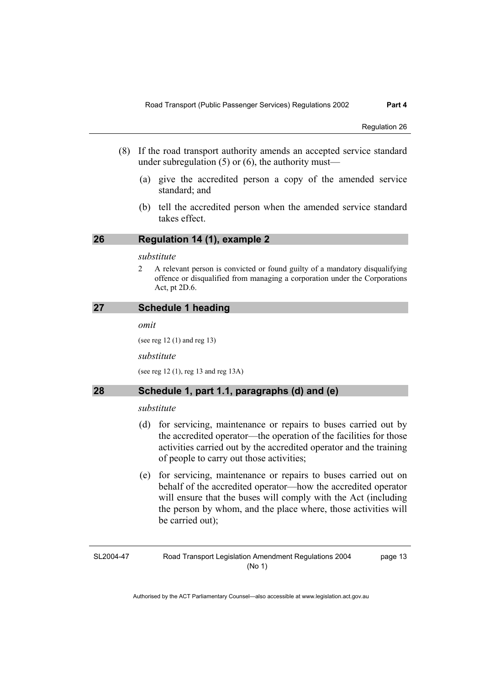- (8) If the road transport authority amends an accepted service standard under subregulation  $(5)$  or  $(6)$ , the authority must—
	- (a) give the accredited person a copy of the amended service standard; and
	- (b) tell the accredited person when the amended service standard takes effect.

### **26 Regulation 14 (1), example 2**

### *substitute*

2 A relevant person is convicted or found guilty of a mandatory disqualifying offence or disqualified from managing a corporation under the Corporations Act, pt 2D.6.

### **27 Schedule 1 heading**

*omit* 

(see reg 12 (1) and reg 13)

*substitute* 

(see reg 12 (1), reg 13 and reg 13A)

### **28 Schedule 1, part 1.1, paragraphs (d) and (e)**

### *substitute*

- (d) for servicing, maintenance or repairs to buses carried out by the accredited operator—the operation of the facilities for those activities carried out by the accredited operator and the training of people to carry out those activities;
- (e) for servicing, maintenance or repairs to buses carried out on behalf of the accredited operator—how the accredited operator will ensure that the buses will comply with the Act (including the person by whom, and the place where, those activities will be carried out);

SL2004-47

Road Transport Legislation Amendment Regulations 2004 (No 1)

page 13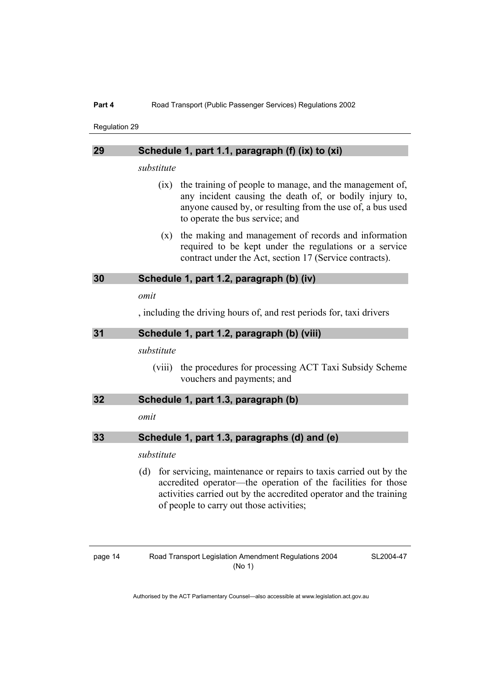| 29 | Schedule 1, part 1.1, paragraph (f) (ix) to (xi)                                                                                                                                                                                                            |  |  |
|----|-------------------------------------------------------------------------------------------------------------------------------------------------------------------------------------------------------------------------------------------------------------|--|--|
|    | substitute                                                                                                                                                                                                                                                  |  |  |
|    | the training of people to manage, and the management of,<br>(ix)<br>any incident causing the death of, or bodily injury to,<br>anyone caused by, or resulting from the use of, a bus used<br>to operate the bus service; and                                |  |  |
|    | the making and management of records and information<br>(x)<br>required to be kept under the regulations or a service<br>contract under the Act, section 17 (Service contracts).                                                                            |  |  |
| 30 | Schedule 1, part 1.2, paragraph (b) (iv)                                                                                                                                                                                                                    |  |  |
|    | omit                                                                                                                                                                                                                                                        |  |  |
|    | , including the driving hours of, and rest periods for, taxi drivers                                                                                                                                                                                        |  |  |
| 31 | Schedule 1, part 1.2, paragraph (b) (viii)                                                                                                                                                                                                                  |  |  |
|    | substitute                                                                                                                                                                                                                                                  |  |  |
|    | the procedures for processing ACT Taxi Subsidy Scheme<br>(viii)<br>vouchers and payments; and                                                                                                                                                               |  |  |
| 32 | Schedule 1, part 1.3, paragraph (b)                                                                                                                                                                                                                         |  |  |
|    | omit                                                                                                                                                                                                                                                        |  |  |
| 33 | Schedule 1, part 1.3, paragraphs (d) and (e)                                                                                                                                                                                                                |  |  |
|    | substitute                                                                                                                                                                                                                                                  |  |  |
|    | for servicing, maintenance or repairs to taxis carried out by the<br>(d)<br>accredited operator—the operation of the facilities for those<br>activities carried out by the accredited operator and the training<br>of people to carry out those activities; |  |  |

SL2004-47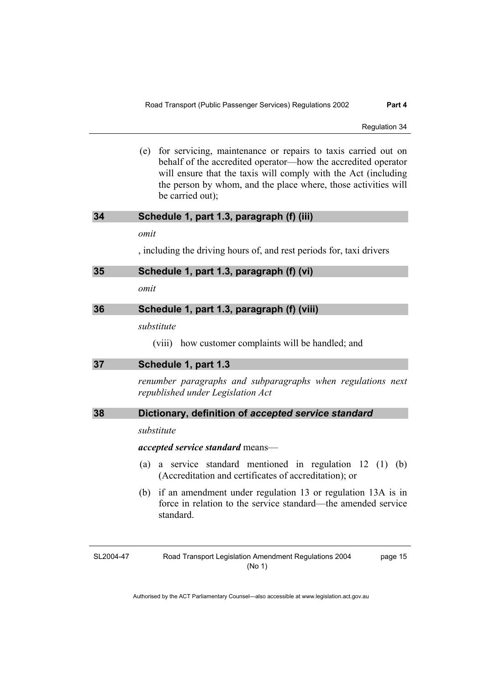(e) for servicing, maintenance or repairs to taxis carried out on behalf of the accredited operator—how the accredited operator will ensure that the taxis will comply with the Act (including the person by whom, and the place where, those activities will be carried out);

| 34 |  | Schedule 1, part 1.3, paragraph (f) (iii) |  |  |  |
|----|--|-------------------------------------------|--|--|--|
|----|--|-------------------------------------------|--|--|--|

*omit* 

, including the driving hours of, and rest periods for, taxi drivers

### **35 Schedule 1, part 1.3, paragraph (f) (vi)**

*omit* 

### **36 Schedule 1, part 1.3, paragraph (f) (viii)**

*substitute* 

(viii) how customer complaints will be handled; and

| 37 | Schedule 1, part 1.3 |
|----|----------------------|
|    |                      |

*renumber paragraphs and subparagraphs when regulations next republished under Legislation Act* 

### **38 Dictionary, definition of** *accepted service standard*

### *substitute*

*accepted service standard* means—

- (a) a service standard mentioned in regulation 12 (1) (b) (Accreditation and certificates of accreditation); or
- (b) if an amendment under regulation 13 or regulation 13A is in force in relation to the service standard—the amended service standard.

SL2004-47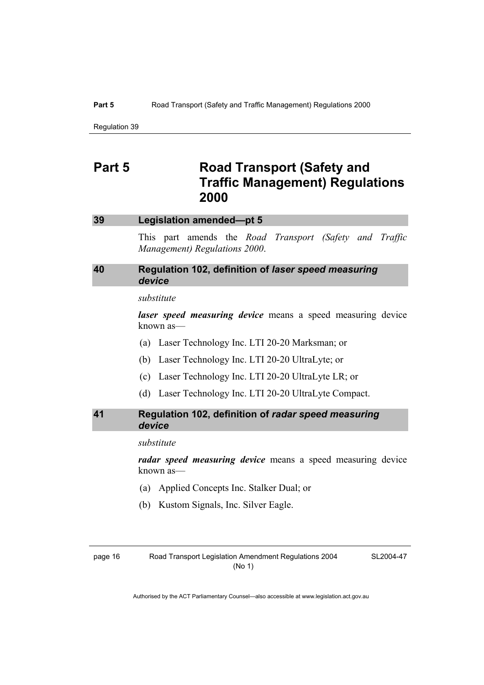#### **Part 5** Road Transport (Safety and Traffic Management) Regulations 2000

Regulation 39

### **Part 5** Road Transport (Safety and **Traffic Management) Regulations 2000**

### **39 Legislation amended—pt 5**

This part amends the *Road Transport (Safety and Traffic Management) Regulations 2000*.

### **40 Regulation 102, definition of** *laser speed measuring device*

### *substitute*

*laser speed measuring device* means a speed measuring device known as—

- (a) Laser Technology Inc. LTI 20-20 Marksman; or
- (b) Laser Technology Inc. LTI 20-20 UltraLyte; or
- (c) Laser Technology Inc. LTI 20-20 UltraLyte LR; or
- (d) Laser Technology Inc. LTI 20-20 UltraLyte Compact.

### **41 Regulation 102, definition of** *radar speed measuring device*

*substitute* 

*radar speed measuring device* means a speed measuring device known as—

- (a) Applied Concepts Inc. Stalker Dual; or
- (b) Kustom Signals, Inc. Silver Eagle.

SL2004-47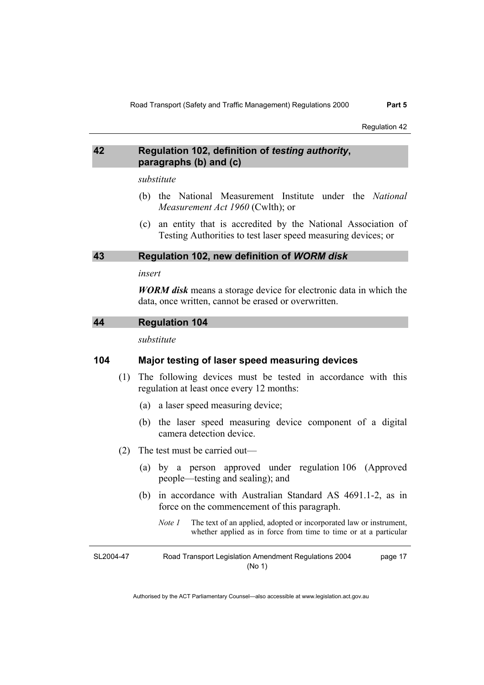### **42 Regulation 102, definition of** *testing authority***, paragraphs (b) and (c)**

*substitute* 

- (b) the National Measurement Institute under the *National Measurement Act 1960* (Cwlth); or
- (c) an entity that is accredited by the National Association of Testing Authorities to test laser speed measuring devices; or

### **43 Regulation 102, new definition of** *WORM disk*

#### *insert*

*WORM disk* means a storage device for electronic data in which the data, once written, cannot be erased or overwritten.

### **44 Regulation 104**

*substitute* 

### **104 Major testing of laser speed measuring devices**

- (1) The following devices must be tested in accordance with this regulation at least once every 12 months:
	- (a) a laser speed measuring device;
	- (b) the laser speed measuring device component of a digital camera detection device.
- (2) The test must be carried out—
	- (a) by a person approved under regulation 106 (Approved people—testing and sealing); and
	- (b) in accordance with Australian Standard AS 4691.1-2, as in force on the commencement of this paragraph.
		- *Note 1* The text of an applied, adopted or incorporated law or instrument, whether applied as in force from time to time or at a particular

SL2004-47 Road Transport Legislation Amendment Regulations 2004 (No 1) page 17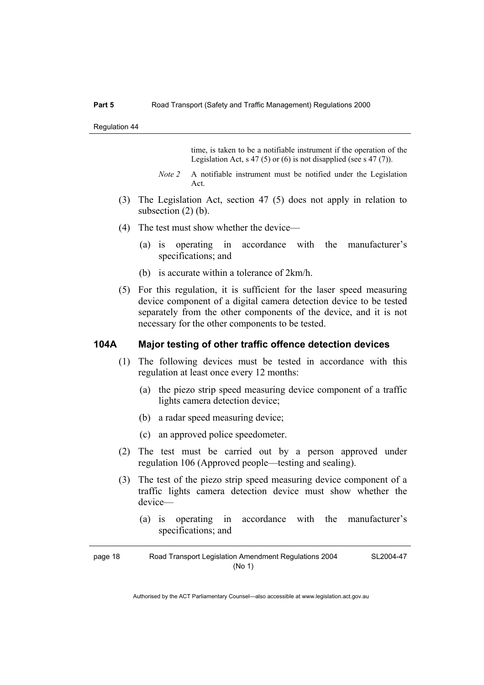time, is taken to be a notifiable instrument if the operation of the Legislation Act, s 47 (5) or (6) is not disapplied (see s 47 (7)).

- *Note 2* A notifiable instrument must be notified under the Legislation Act.
- (3) The Legislation Act, section 47 (5) does not apply in relation to subsection (2) (b).
- (4) The test must show whether the device—
	- (a) is operating in accordance with the manufacturer's specifications; and
	- (b) is accurate within a tolerance of 2km/h.
- (5) For this regulation, it is sufficient for the laser speed measuring device component of a digital camera detection device to be tested separately from the other components of the device, and it is not necessary for the other components to be tested.

### **104A Major testing of other traffic offence detection devices**

- (1) The following devices must be tested in accordance with this regulation at least once every 12 months:
	- (a) the piezo strip speed measuring device component of a traffic lights camera detection device;
	- (b) a radar speed measuring device;
	- (c) an approved police speedometer.
- (2) The test must be carried out by a person approved under regulation 106 (Approved people—testing and sealing).
- (3) The test of the piezo strip speed measuring device component of a traffic lights camera detection device must show whether the device—
	- (a) is operating in accordance with the manufacturer's specifications; and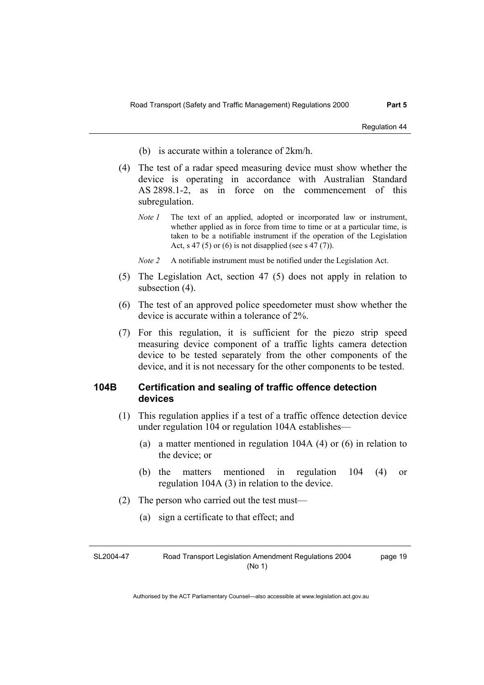- (b) is accurate within a tolerance of 2km/h.
- (4) The test of a radar speed measuring device must show whether the device is operating in accordance with Australian Standard AS 2898.1-2, as in force on the commencement of this subregulation.
	- *Note 1* The text of an applied, adopted or incorporated law or instrument, whether applied as in force from time to time or at a particular time, is taken to be a notifiable instrument if the operation of the Legislation Act, s 47 (5) or (6) is not disapplied (see s 47 (7)).

*Note 2* A notifiable instrument must be notified under the Legislation Act.

- (5) The Legislation Act, section 47 (5) does not apply in relation to subsection (4).
- (6) The test of an approved police speedometer must show whether the device is accurate within a tolerance of 2%.
- (7) For this regulation, it is sufficient for the piezo strip speed measuring device component of a traffic lights camera detection device to be tested separately from the other components of the device, and it is not necessary for the other components to be tested.

### **104B Certification and sealing of traffic offence detection devices**

- (1) This regulation applies if a test of a traffic offence detection device under regulation 104 or regulation 104A establishes—
	- (a) a matter mentioned in regulation 104A (4) or (6) in relation to the device; or
	- (b) the matters mentioned in regulation 104 (4) or regulation 104A (3) in relation to the device.
- (2) The person who carried out the test must—
	- (a) sign a certificate to that effect; and

| SL2004-47 | Road Transport Legislation Amendment Regulations 2004 | page 19 |
|-----------|-------------------------------------------------------|---------|
|           | (No 1)                                                |         |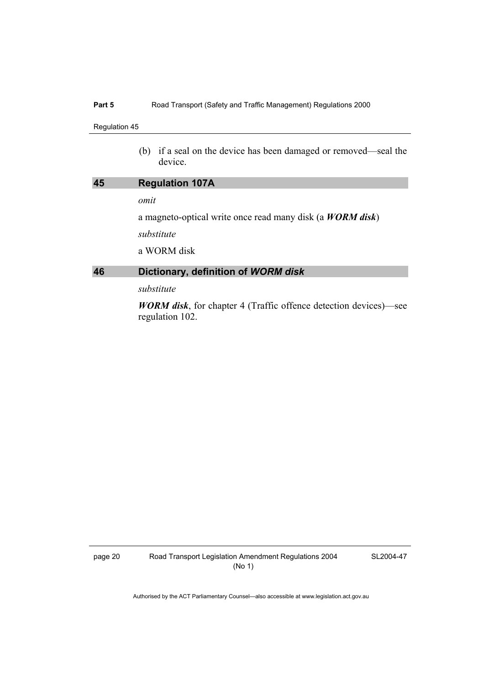### Part 5 **Road Transport (Safety and Traffic Management) Regulations 2000**

### Regulation 45

 (b) if a seal on the device has been damaged or removed—seal the device.

| 45 | <b>Regulation 107A</b>                                            |
|----|-------------------------------------------------------------------|
|    | omit                                                              |
|    | a magneto-optical write once read many disk (a <i>WORM disk</i> ) |
|    | substitute                                                        |
|    | a WORM disk                                                       |
| 46 | Dictionary, definition of WORM disk                               |
|    | substitute                                                        |

*WORM disk*, for chapter 4 (Traffic offence detection devices)—see regulation 102.